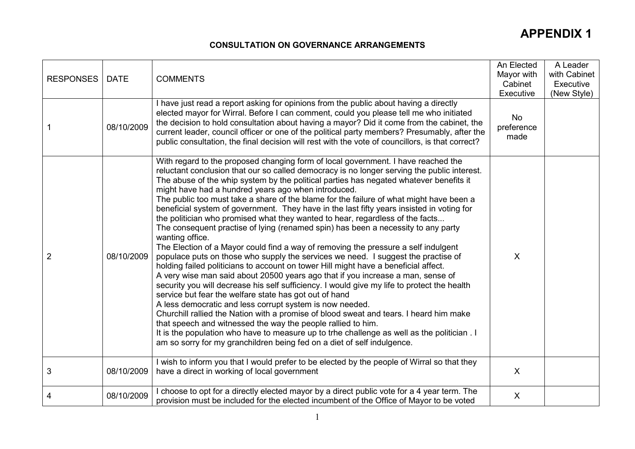#### CONSULTATION ON GOVERNANCE ARRANGEMENTS

| <b>RESPONSES</b> | <b>DATE</b> | <b>COMMENTS</b>                                                                                                                                                                                                                                                                                                                                                                                                                                                                                                                                                                                                                                                                                                                                                                                                                                                                                                                                                                                                                                                                                                                                                                                                                                                                                                                                                                                                                                                                                                                                                                                                                  | An Elected<br>Mayor with<br>Cabinet<br>Executive | A Leader<br>with Cabinet<br>Executive<br>(New Style) |
|------------------|-------------|----------------------------------------------------------------------------------------------------------------------------------------------------------------------------------------------------------------------------------------------------------------------------------------------------------------------------------------------------------------------------------------------------------------------------------------------------------------------------------------------------------------------------------------------------------------------------------------------------------------------------------------------------------------------------------------------------------------------------------------------------------------------------------------------------------------------------------------------------------------------------------------------------------------------------------------------------------------------------------------------------------------------------------------------------------------------------------------------------------------------------------------------------------------------------------------------------------------------------------------------------------------------------------------------------------------------------------------------------------------------------------------------------------------------------------------------------------------------------------------------------------------------------------------------------------------------------------------------------------------------------------|--------------------------------------------------|------------------------------------------------------|
|                  | 08/10/2009  | I have just read a report asking for opinions from the public about having a directly<br>elected mayor for Wirral. Before I can comment, could you please tell me who initiated<br>the decision to hold consultation about having a mayor? Did it come from the cabinet, the<br>current leader, council officer or one of the political party members? Presumably, after the<br>public consultation, the final decision will rest with the vote of councillors, is that correct?                                                                                                                                                                                                                                                                                                                                                                                                                                                                                                                                                                                                                                                                                                                                                                                                                                                                                                                                                                                                                                                                                                                                                 | <b>No</b><br>preference<br>made                  |                                                      |
| 2                | 08/10/2009  | With regard to the proposed changing form of local government. I have reached the<br>reluctant conclusion that our so called democracy is no longer serving the public interest.<br>The abuse of the whip system by the political parties has negated whatever benefits it<br>might have had a hundred years ago when introduced.<br>The public too must take a share of the blame for the failure of what might have been a<br>beneficial system of government. They have in the last fifty years insisted in voting for<br>the politician who promised what they wanted to hear, regardless of the facts<br>The consequent practise of lying (renamed spin) has been a necessity to any party<br>wanting office.<br>The Election of a Mayor could find a way of removing the pressure a self indulgent<br>populace puts on those who supply the services we need. I suggest the practise of<br>holding failed politicians to account on tower Hill might have a beneficial affect.<br>A very wise man said about 20500 years ago that if you increase a man, sense of<br>security you will decrease his self sufficiency. I would give my life to protect the health<br>service but fear the welfare state has got out of hand<br>A less democratic and less corrupt system is now needed.<br>Churchill rallied the Nation with a promise of blood sweat and tears. I heard him make<br>that speech and witnessed the way the people rallied to him.<br>It is the population who have to measure up to trhe challenge as well as the politician . I<br>am so sorry for my granchildren being fed on a diet of self indulgence. | X                                                |                                                      |
| 3                | 08/10/2009  | I wish to inform you that I would prefer to be elected by the people of Wirral so that they<br>have a direct in working of local government                                                                                                                                                                                                                                                                                                                                                                                                                                                                                                                                                                                                                                                                                                                                                                                                                                                                                                                                                                                                                                                                                                                                                                                                                                                                                                                                                                                                                                                                                      | $\mathsf{X}$                                     |                                                      |
| 4                | 08/10/2009  | I choose to opt for a directly elected mayor by a direct public vote for a 4 year term. The<br>provision must be included for the elected incumbent of the Office of Mayor to be voted                                                                                                                                                                                                                                                                                                                                                                                                                                                                                                                                                                                                                                                                                                                                                                                                                                                                                                                                                                                                                                                                                                                                                                                                                                                                                                                                                                                                                                           | $\boldsymbol{\mathsf{X}}$                        |                                                      |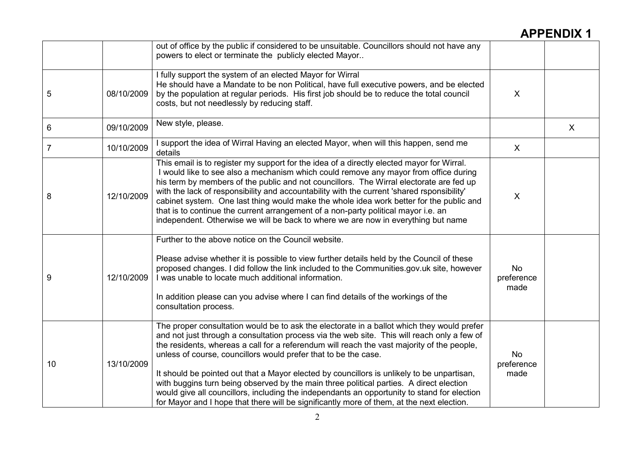|                |            | out of office by the public if considered to be unsuitable. Councillors should not have any<br>powers to elect or terminate the publicly elected Mayor                                                                                                                                                                                                                                                                                                                                                                                                                                                                                                                                                                                          |                          |   |
|----------------|------------|-------------------------------------------------------------------------------------------------------------------------------------------------------------------------------------------------------------------------------------------------------------------------------------------------------------------------------------------------------------------------------------------------------------------------------------------------------------------------------------------------------------------------------------------------------------------------------------------------------------------------------------------------------------------------------------------------------------------------------------------------|--------------------------|---|
| 5              | 08/10/2009 | I fully support the system of an elected Mayor for Wirral<br>He should have a Mandate to be non Political, have full executive powers, and be elected<br>by the population at regular periods. His first job should be to reduce the total council<br>costs, but not needlessly by reducing staff.                                                                                                                                                                                                                                                                                                                                                                                                                                              | $\mathsf{X}$             |   |
| 6              | 09/10/2009 | New style, please.                                                                                                                                                                                                                                                                                                                                                                                                                                                                                                                                                                                                                                                                                                                              |                          | X |
| $\overline{7}$ | 10/10/2009 | I support the idea of Wirral Having an elected Mayor, when will this happen, send me<br>details                                                                                                                                                                                                                                                                                                                                                                                                                                                                                                                                                                                                                                                 | $\sf X$                  |   |
| 8              | 12/10/2009 | This email is to register my support for the idea of a directly elected mayor for Wirral.<br>I would like to see also a mechanism which could remove any mayor from office during<br>his term by members of the public and not councillors. The Wirral electorate are fed up<br>with the lack of responsibility and accountability with the current 'shared rsponsibility'<br>cabinet system. One last thing would make the whole idea work better for the public and<br>that is to continue the current arrangement of a non-party political mayor i.e. an<br>independent. Otherwise we will be back to where we are now in everything but name                                                                                                | X                        |   |
| 9              | 12/10/2009 | Further to the above notice on the Council website.<br>Please advise whether it is possible to view further details held by the Council of these<br>proposed changes. I did follow the link included to the Communities.gov.uk site, however<br>I was unable to locate much additional information.<br>In addition please can you advise where I can find details of the workings of the<br>consultation process.                                                                                                                                                                                                                                                                                                                               | No<br>preference<br>made |   |
| 10             | 13/10/2009 | The proper consultation would be to ask the electorate in a ballot which they would prefer<br>and not just through a consultation process via the web site. This will reach only a few of<br>the residents, whereas a call for a referendum will reach the vast majority of the people,<br>unless of course, councillors would prefer that to be the case.<br>It should be pointed out that a Mayor elected by councillors is unlikely to be unpartisan,<br>with buggins turn being observed by the main three political parties. A direct election<br>would give all councillors, including the independants an opportunity to stand for election<br>for Mayor and I hope that there will be significantly more of them, at the next election. | No<br>preference<br>made |   |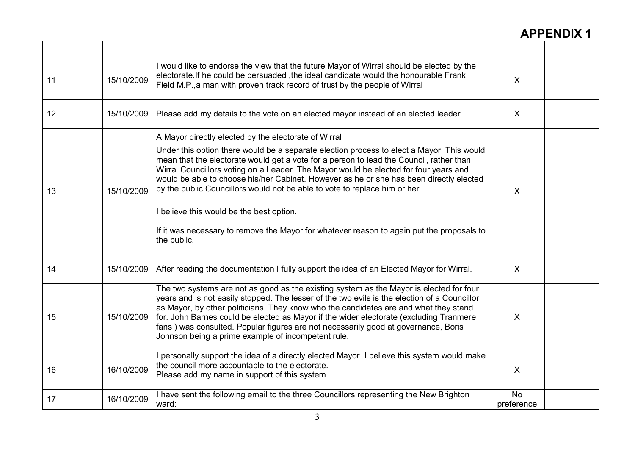| 11 | 15/10/2009 | I would like to endorse the view that the future Mayor of Wirral should be elected by the<br>electorate. If he could be persuaded, the ideal candidate would the honourable Frank<br>Field M.P., a man with proven track record of trust by the people of Wirral                                                                                                                                                                                                                                                                                                                                              | $\sf X$                   |  |
|----|------------|---------------------------------------------------------------------------------------------------------------------------------------------------------------------------------------------------------------------------------------------------------------------------------------------------------------------------------------------------------------------------------------------------------------------------------------------------------------------------------------------------------------------------------------------------------------------------------------------------------------|---------------------------|--|
| 12 | 15/10/2009 | Please add my details to the vote on an elected mayor instead of an elected leader                                                                                                                                                                                                                                                                                                                                                                                                                                                                                                                            | $\sf X$                   |  |
|    |            | A Mayor directly elected by the electorate of Wirral                                                                                                                                                                                                                                                                                                                                                                                                                                                                                                                                                          |                           |  |
| 13 | 15/10/2009 | Under this option there would be a separate election process to elect a Mayor. This would<br>mean that the electorate would get a vote for a person to lead the Council, rather than<br>Wirral Councillors voting on a Leader. The Mayor would be elected for four years and<br>would be able to choose his/her Cabinet. However as he or she has been directly elected<br>by the public Councillors would not be able to vote to replace him or her.<br>I believe this would be the best option.<br>If it was necessary to remove the Mayor for whatever reason to again put the proposals to<br>the public. | $\sf X$                   |  |
| 14 | 15/10/2009 | After reading the documentation I fully support the idea of an Elected Mayor for Wirral.                                                                                                                                                                                                                                                                                                                                                                                                                                                                                                                      | $\sf X$                   |  |
| 15 | 15/10/2009 | The two systems are not as good as the existing system as the Mayor is elected for four<br>years and is not easily stopped. The lesser of the two evils is the election of a Councillor<br>as Mayor, by other politicians. They know who the candidates are and what they stand<br>for. John Barnes could be elected as Mayor if the wider electorate (excluding Tranmere<br>fans) was consulted. Popular figures are not necessarily good at governance, Boris<br>Johnson being a prime example of incompetent rule.                                                                                         | $\sf X$                   |  |
| 16 | 16/10/2009 | I personally support the idea of a directly elected Mayor. I believe this system would make<br>the council more accountable to the electorate.<br>Please add my name in support of this system                                                                                                                                                                                                                                                                                                                                                                                                                | $\boldsymbol{\mathsf{X}}$ |  |
| 17 | 16/10/2009 | I have sent the following email to the three Councillors representing the New Brighton<br>ward:                                                                                                                                                                                                                                                                                                                                                                                                                                                                                                               | <b>No</b><br>preference   |  |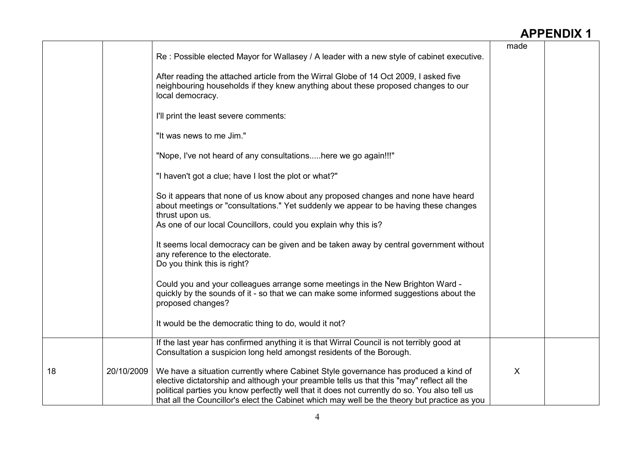|    |            |                                                                                                                                                                                                                                                                                                                                                                                  | made                      |  |
|----|------------|----------------------------------------------------------------------------------------------------------------------------------------------------------------------------------------------------------------------------------------------------------------------------------------------------------------------------------------------------------------------------------|---------------------------|--|
|    |            | Re: Possible elected Mayor for Wallasey / A leader with a new style of cabinet executive.                                                                                                                                                                                                                                                                                        |                           |  |
|    |            | After reading the attached article from the Wirral Globe of 14 Oct 2009, I asked five<br>neighbouring households if they knew anything about these proposed changes to our<br>local democracy.                                                                                                                                                                                   |                           |  |
|    |            | I'll print the least severe comments:                                                                                                                                                                                                                                                                                                                                            |                           |  |
|    |            | "It was news to me Jim."                                                                                                                                                                                                                                                                                                                                                         |                           |  |
|    |            | "Nope, I've not heard of any consultationshere we go again!!!"                                                                                                                                                                                                                                                                                                                   |                           |  |
|    |            | "I haven't got a clue; have I lost the plot or what?"                                                                                                                                                                                                                                                                                                                            |                           |  |
|    |            | So it appears that none of us know about any proposed changes and none have heard<br>about meetings or "consultations." Yet suddenly we appear to be having these changes<br>thrust upon us.<br>As one of our local Councillors, could you explain why this is?                                                                                                                  |                           |  |
|    |            | It seems local democracy can be given and be taken away by central government without<br>any reference to the electorate.<br>Do you think this is right?                                                                                                                                                                                                                         |                           |  |
|    |            | Could you and your colleagues arrange some meetings in the New Brighton Ward -<br>quickly by the sounds of it - so that we can make some informed suggestions about the<br>proposed changes?                                                                                                                                                                                     |                           |  |
|    |            | It would be the democratic thing to do, would it not?                                                                                                                                                                                                                                                                                                                            |                           |  |
|    |            | If the last year has confirmed anything it is that Wirral Council is not terribly good at<br>Consultation a suspicion long held amongst residents of the Borough.                                                                                                                                                                                                                |                           |  |
| 18 | 20/10/2009 | We have a situation currently where Cabinet Style governance has produced a kind of<br>elective dictatorship and although your preamble tells us that this "may" reflect all the<br>political parties you know perfectly well that it does not currently do so. You also tell us<br>that all the Councillor's elect the Cabinet which may well be the theory but practice as you | $\boldsymbol{\mathsf{X}}$ |  |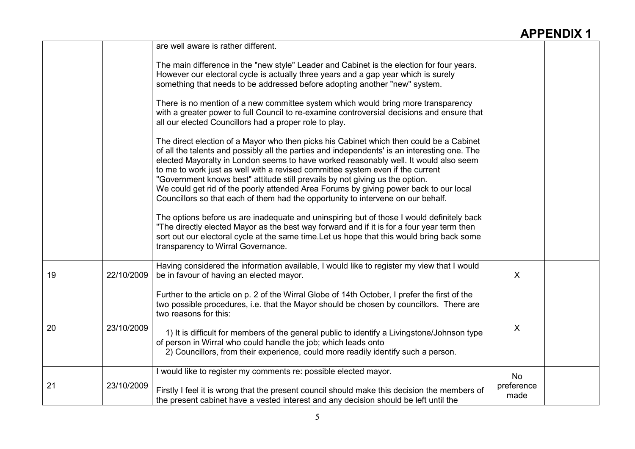|    |            | are well aware is rather different.                                                                                                                                                                                                                                                                                                                                                                                                                                                                                                                                                                                            |                                 |  |
|----|------------|--------------------------------------------------------------------------------------------------------------------------------------------------------------------------------------------------------------------------------------------------------------------------------------------------------------------------------------------------------------------------------------------------------------------------------------------------------------------------------------------------------------------------------------------------------------------------------------------------------------------------------|---------------------------------|--|
|    |            | The main difference in the "new style" Leader and Cabinet is the election for four years.<br>However our electoral cycle is actually three years and a gap year which is surely<br>something that needs to be addressed before adopting another "new" system.                                                                                                                                                                                                                                                                                                                                                                  |                                 |  |
|    |            | There is no mention of a new committee system which would bring more transparency<br>with a greater power to full Council to re-examine controversial decisions and ensure that<br>all our elected Councillors had a proper role to play.                                                                                                                                                                                                                                                                                                                                                                                      |                                 |  |
|    |            | The direct election of a Mayor who then picks his Cabinet which then could be a Cabinet<br>of all the talents and possibly all the parties and independents' is an interesting one. The<br>elected Mayoralty in London seems to have worked reasonably well. It would also seem<br>to me to work just as well with a revised committee system even if the current<br>"Government knows best" attitude still prevails by not giving us the option.<br>We could get rid of the poorly attended Area Forums by giving power back to our local<br>Councillors so that each of them had the opportunity to intervene on our behalf. |                                 |  |
|    |            | The options before us are inadequate and uninspiring but of those I would definitely back<br>"The directly elected Mayor as the best way forward and if it is for a four year term then<br>sort out our electoral cycle at the same time. Let us hope that this would bring back some<br>transparency to Wirral Governance.                                                                                                                                                                                                                                                                                                    |                                 |  |
| 19 | 22/10/2009 | Having considered the information available, I would like to register my view that I would<br>be in favour of having an elected mayor.                                                                                                                                                                                                                                                                                                                                                                                                                                                                                         | $\boldsymbol{\mathsf{X}}$       |  |
| 20 | 23/10/2009 | Further to the article on p. 2 of the Wirral Globe of 14th October, I prefer the first of the<br>two possible procedures, i.e. that the Mayor should be chosen by councillors. There are<br>two reasons for this:<br>1) It is difficult for members of the general public to identify a Livingstone/Johnson type<br>of person in Wirral who could handle the job; which leads onto<br>2) Councillors, from their experience, could more readily identify such a person.                                                                                                                                                        | X                               |  |
| 21 | 23/10/2009 | I would like to register my comments re: possible elected mayor.<br>Firstly I feel it is wrong that the present council should make this decision the members of<br>the present cabinet have a vested interest and any decision should be left until the                                                                                                                                                                                                                                                                                                                                                                       | <b>No</b><br>preference<br>made |  |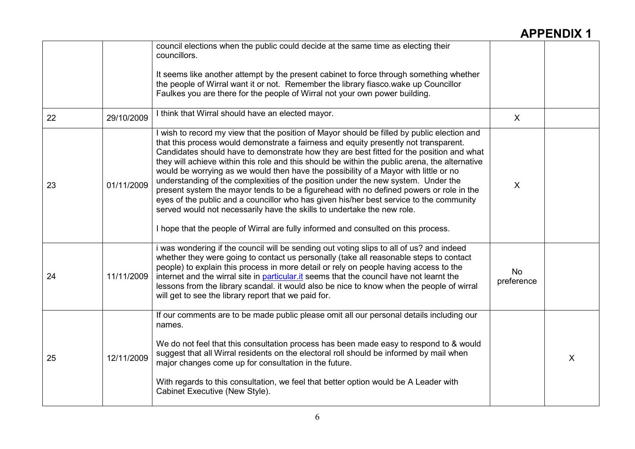|    |            | council elections when the public could decide at the same time as electing their<br>councillors.<br>It seems like another attempt by the present cabinet to force through something whether<br>the people of Wirral want it or not. Remember the library fiasco.wake up Councillor<br>Faulkes you are there for the people of Wirral not your own power building.                                                                                                                                                                                                                                                                                                                                                                                                                                                                                                                                                    |                         |   |
|----|------------|-----------------------------------------------------------------------------------------------------------------------------------------------------------------------------------------------------------------------------------------------------------------------------------------------------------------------------------------------------------------------------------------------------------------------------------------------------------------------------------------------------------------------------------------------------------------------------------------------------------------------------------------------------------------------------------------------------------------------------------------------------------------------------------------------------------------------------------------------------------------------------------------------------------------------|-------------------------|---|
| 22 | 29/10/2009 | I think that Wirral should have an elected mayor.                                                                                                                                                                                                                                                                                                                                                                                                                                                                                                                                                                                                                                                                                                                                                                                                                                                                     | X                       |   |
| 23 | 01/11/2009 | I wish to record my view that the position of Mayor should be filled by public election and<br>that this process would demonstrate a fairness and equity presently not transparent.<br>Candidates should have to demonstrate how they are best fitted for the position and what<br>they will achieve within this role and this should be within the public arena, the alternative<br>would be worrying as we would then have the possibility of a Mayor with little or no<br>understanding of the complexities of the position under the new system. Under the<br>present system the mayor tends to be a figurehead with no defined powers or role in the<br>eyes of the public and a councillor who has given his/her best service to the community<br>served would not necessarily have the skills to undertake the new role.<br>I hope that the people of Wirral are fully informed and consulted on this process. | X                       |   |
| 24 | 11/11/2009 | i was wondering if the council will be sending out voting slips to all of us? and indeed<br>whether they were going to contact us personally (take all reasonable steps to contact<br>people) to explain this process in more detail or rely on people having access to the<br>internet and the wirral site in particular.it seems that the council have not learnt the<br>lessons from the library scandal. it would also be nice to know when the people of wirral<br>will get to see the library report that we paid for.                                                                                                                                                                                                                                                                                                                                                                                          | <b>No</b><br>preference |   |
| 25 | 12/11/2009 | If our comments are to be made public please omit all our personal details including our<br>names.<br>We do not feel that this consultation process has been made easy to respond to & would<br>suggest that all Wirral residents on the electoral roll should be informed by mail when<br>major changes come up for consultation in the future.<br>With regards to this consultation, we feel that better option would be A Leader with<br>Cabinet Executive (New Style).                                                                                                                                                                                                                                                                                                                                                                                                                                            |                         | X |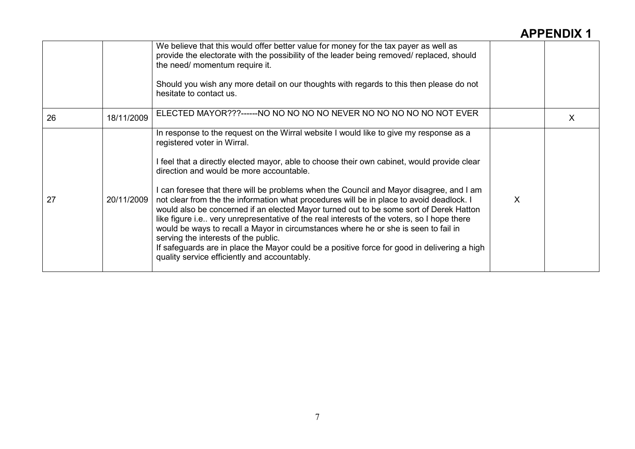|    |            | We believe that this would offer better value for money for the tax payer as well as<br>provide the electorate with the possibility of the leader being removed/ replaced, should<br>the need/ momentum require it.<br>Should you wish any more detail on our thoughts with regards to this then please do not<br>hesitate to contact us.                                                                                                                                                                                                                                                                                                                                                                                                                                                                                                                                                                                      |   |    |
|----|------------|--------------------------------------------------------------------------------------------------------------------------------------------------------------------------------------------------------------------------------------------------------------------------------------------------------------------------------------------------------------------------------------------------------------------------------------------------------------------------------------------------------------------------------------------------------------------------------------------------------------------------------------------------------------------------------------------------------------------------------------------------------------------------------------------------------------------------------------------------------------------------------------------------------------------------------|---|----|
| 26 | 18/11/2009 | ELECTED MAYOR???------NO NO NO NO NO NEVER NO NO NO NO NO NOT EVER                                                                                                                                                                                                                                                                                                                                                                                                                                                                                                                                                                                                                                                                                                                                                                                                                                                             |   | X. |
| 27 | 20/11/2009 | In response to the request on the Wirral website I would like to give my response as a<br>registered voter in Wirral.<br>I feel that a directly elected mayor, able to choose their own cabinet, would provide clear<br>direction and would be more accountable.<br>I can foresee that there will be problems when the Council and Mayor disagree, and I am<br>not clear from the the information what procedures will be in place to avoid deadlock. I<br>would also be concerned if an elected Mayor turned out to be some sort of Derek Hatton<br>like figure i.e very unrepresentative of the real interests of the voters, so I hope there<br>would be ways to recall a Mayor in circumstances where he or she is seen to fail in<br>serving the interests of the public.<br>If safeguards are in place the Mayor could be a positive force for good in delivering a high<br>quality service efficiently and accountably. | X |    |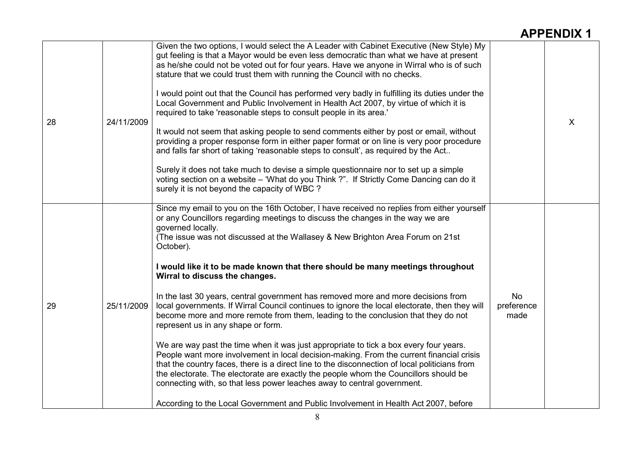|    |            | Given the two options, I would select the A Leader with Cabinet Executive (New Style) My<br>gut feeling is that a Mayor would be even less democratic than what we have at present<br>as he/she could not be voted out for four years. Have we anyone in Wirral who is of such                                                                                                                                                                                                                                                                                                                                                                                                                                                                                                                                                                                                                                                                                                                                                                                                                                                                                                                                                                                                        |                          |         |
|----|------------|---------------------------------------------------------------------------------------------------------------------------------------------------------------------------------------------------------------------------------------------------------------------------------------------------------------------------------------------------------------------------------------------------------------------------------------------------------------------------------------------------------------------------------------------------------------------------------------------------------------------------------------------------------------------------------------------------------------------------------------------------------------------------------------------------------------------------------------------------------------------------------------------------------------------------------------------------------------------------------------------------------------------------------------------------------------------------------------------------------------------------------------------------------------------------------------------------------------------------------------------------------------------------------------|--------------------------|---------|
| 28 | 24/11/2009 | stature that we could trust them with running the Council with no checks.<br>I would point out that the Council has performed very badly in fulfilling its duties under the<br>Local Government and Public Involvement in Health Act 2007, by virtue of which it is<br>required to take 'reasonable steps to consult people in its area.'<br>It would not seem that asking people to send comments either by post or email, without<br>providing a proper response form in either paper format or on line is very poor procedure<br>and falls far short of taking 'reasonable steps to consult', as required by the Act<br>Surely it does not take much to devise a simple questionnaire nor to set up a simple<br>voting section on a website - 'What do you Think ?". If Strictly Come Dancing can do it<br>surely it is not beyond the capacity of WBC?                                                                                                                                                                                                                                                                                                                                                                                                                            |                          | $\sf X$ |
| 29 | 25/11/2009 | Since my email to you on the 16th October, I have received no replies from either yourself<br>or any Councillors regarding meetings to discuss the changes in the way we are<br>governed locally.<br>(The issue was not discussed at the Wallasey & New Brighton Area Forum on 21st<br>October).<br>I would like it to be made known that there should be many meetings throughout<br>Wirral to discuss the changes.<br>In the last 30 years, central government has removed more and more decisions from<br>local governments. If Wirral Council continues to ignore the local electorate, then they will<br>become more and more remote from them, leading to the conclusion that they do not<br>represent us in any shape or form.<br>We are way past the time when it was just appropriate to tick a box every four years.<br>People want more involvement in local decision-making. From the current financial crisis<br>that the country faces, there is a direct line to the disconnection of local politicians from<br>the electorate. The electorate are exactly the people whom the Councillors should be<br>connecting with, so that less power leaches away to central government.<br>According to the Local Government and Public Involvement in Health Act 2007, before | No<br>preference<br>made |         |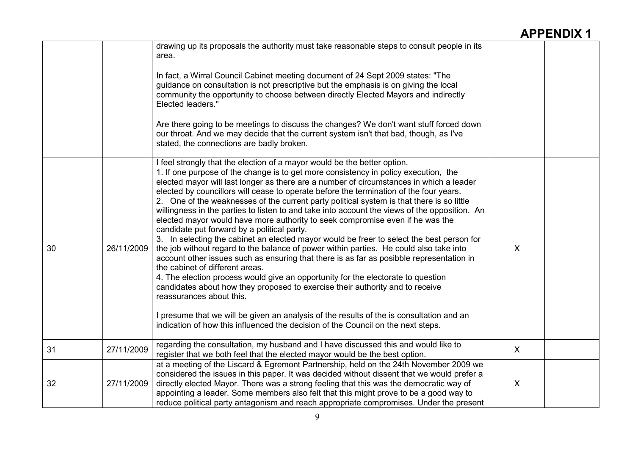|    |            | drawing up its proposals the authority must take reasonable steps to consult people in its<br>area.<br>In fact, a Wirral Council Cabinet meeting document of 24 Sept 2009 states: "The<br>guidance on consultation is not prescriptive but the emphasis is on giving the local<br>community the opportunity to choose between directly Elected Mayors and indirectly<br>Elected leaders."<br>Are there going to be meetings to discuss the changes? We don't want stuff forced down<br>our throat. And we may decide that the current system isn't that bad, though, as I've<br>stated, the connections are badly broken.                                                                                                                                                                                                                                                                                                                                                                                                                                                                                                                                                                                                                                                                                                                                                                 |                           |  |
|----|------------|-------------------------------------------------------------------------------------------------------------------------------------------------------------------------------------------------------------------------------------------------------------------------------------------------------------------------------------------------------------------------------------------------------------------------------------------------------------------------------------------------------------------------------------------------------------------------------------------------------------------------------------------------------------------------------------------------------------------------------------------------------------------------------------------------------------------------------------------------------------------------------------------------------------------------------------------------------------------------------------------------------------------------------------------------------------------------------------------------------------------------------------------------------------------------------------------------------------------------------------------------------------------------------------------------------------------------------------------------------------------------------------------|---------------------------|--|
| 30 | 26/11/2009 | I feel strongly that the election of a mayor would be the better option.<br>1. If one purpose of the change is to get more consistency in policy execution, the<br>elected mayor will last longer as there are a number of circumstances in which a leader<br>elected by councillors will cease to operate before the termination of the four years.<br>2. One of the weaknesses of the current party political system is that there is so little<br>willingness in the parties to listen to and take into account the views of the opposition. An<br>elected mayor would have more authority to seek compromise even if he was the<br>candidate put forward by a political party.<br>3. In selecting the cabinet an elected mayor would be freer to select the best person for<br>the job without regard to the balance of power within parties. He could also take into<br>account other issues such as ensuring that there is as far as posibble representation in<br>the cabinet of different areas.<br>4. The election process would give an opportunity for the electorate to question<br>candidates about how they proposed to exercise their authority and to receive<br>reassurances about this.<br>I presume that we will be given an analysis of the results of the is consultation and an<br>indication of how this influenced the decision of the Council on the next steps. | X                         |  |
| 31 | 27/11/2009 | regarding the consultation, my husband and I have discussed this and would like to<br>register that we both feel that the elected mayor would be the best option.                                                                                                                                                                                                                                                                                                                                                                                                                                                                                                                                                                                                                                                                                                                                                                                                                                                                                                                                                                                                                                                                                                                                                                                                                         | X                         |  |
| 32 | 27/11/2009 | at a meeting of the Liscard & Egremont Partnership, held on the 24th November 2009 we<br>considered the issues in this paper. It was decided without dissent that we would prefer a<br>directly elected Mayor. There was a strong feeling that this was the democratic way of<br>appointing a leader. Some members also felt that this might prove to be a good way to<br>reduce political party antagonism and reach appropriate compromises. Under the present                                                                                                                                                                                                                                                                                                                                                                                                                                                                                                                                                                                                                                                                                                                                                                                                                                                                                                                          | $\boldsymbol{\mathsf{X}}$ |  |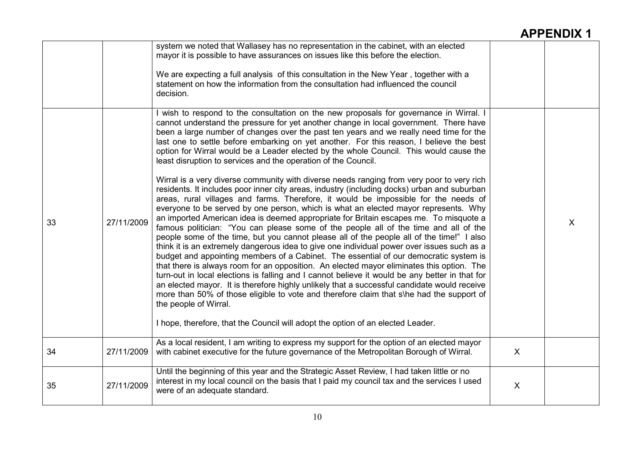|    |            | people some of the time, but you cannot please all of the people all of the time!" I also<br>think it is an extremely dangerous idea to give one individual power over issues such as a<br>budget and appointing members of a Cabinet. The essential of our democratic system is<br>that there is always room for an opposition. An elected mayor eliminates this option. The<br>turn-out in local elections is falling and I cannot believe it would be any better in that for<br>an elected mayor. It is therefore highly unlikely that a successful candidate would receive<br>more than 50% of those eligible to vote and therefore claim that s\he had the support of<br>the people of Wirral. |                           |  |
|----|------------|-----------------------------------------------------------------------------------------------------------------------------------------------------------------------------------------------------------------------------------------------------------------------------------------------------------------------------------------------------------------------------------------------------------------------------------------------------------------------------------------------------------------------------------------------------------------------------------------------------------------------------------------------------------------------------------------------------|---------------------------|--|
|    |            | I hope, therefore, that the Council will adopt the option of an elected Leader.                                                                                                                                                                                                                                                                                                                                                                                                                                                                                                                                                                                                                     |                           |  |
| 34 | 27/11/2009 | As a local resident, I am writing to express my support for the option of an elected mayor<br>with cabinet executive for the future governance of the Metropolitan Borough of Wirral.                                                                                                                                                                                                                                                                                                                                                                                                                                                                                                               | $\mathsf{X}$              |  |
| 35 | 27/11/2009 | Until the beginning of this year and the Strategic Asset Review, I had taken little or no<br>interest in my local council on the basis that I paid my council tax and the services I used<br>were of an adequate standard.                                                                                                                                                                                                                                                                                                                                                                                                                                                                          | $\boldsymbol{\mathsf{X}}$ |  |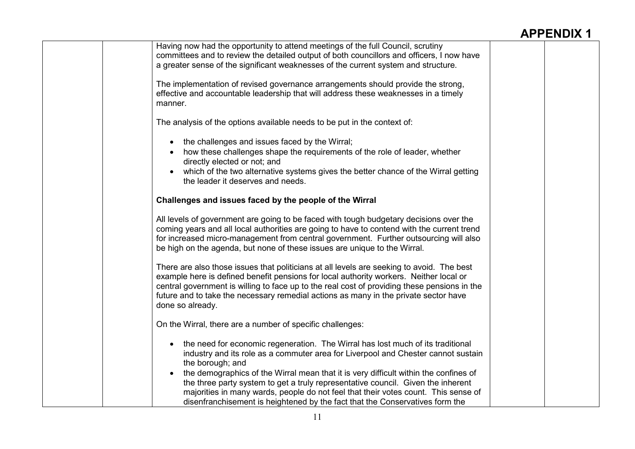| Having now had the opportunity to attend meetings of the full Council, scrutiny              |  |
|----------------------------------------------------------------------------------------------|--|
| committees and to review the detailed output of both councillors and officers, I now have    |  |
| a greater sense of the significant weaknesses of the current system and structure.           |  |
|                                                                                              |  |
| The implementation of revised governance arrangements should provide the strong,             |  |
| effective and accountable leadership that will address these weaknesses in a timely          |  |
| manner.                                                                                      |  |
|                                                                                              |  |
|                                                                                              |  |
| The analysis of the options available needs to be put in the context of:                     |  |
|                                                                                              |  |
| the challenges and issues faced by the Wirral;                                               |  |
| how these challenges shape the requirements of the role of leader, whether                   |  |
| directly elected or not; and                                                                 |  |
| which of the two alternative systems gives the better chance of the Wirral getting           |  |
| the leader it deserves and needs.                                                            |  |
|                                                                                              |  |
| Challenges and issues faced by the people of the Wirral                                      |  |
|                                                                                              |  |
| All levels of government are going to be faced with tough budgetary decisions over the       |  |
| coming years and all local authorities are going to have to contend with the current trend   |  |
| for increased micro-management from central government. Further outsourcing will also        |  |
|                                                                                              |  |
| be high on the agenda, but none of these issues are unique to the Wirral.                    |  |
|                                                                                              |  |
| There are also those issues that politicians at all levels are seeking to avoid. The best    |  |
| example here is defined benefit pensions for local authority workers. Neither local or       |  |
| central government is willing to face up to the real cost of providing these pensions in the |  |
| future and to take the necessary remedial actions as many in the private sector have         |  |
| done so already.                                                                             |  |
|                                                                                              |  |
| On the Wirral, there are a number of specific challenges:                                    |  |
|                                                                                              |  |
| the need for economic regeneration. The Wirral has lost much of its traditional              |  |
| industry and its role as a commuter area for Liverpool and Chester cannot sustain            |  |
| the borough; and                                                                             |  |
| the demographics of the Wirral mean that it is very difficult within the confines of         |  |
| the three party system to get a truly representative council. Given the inherent             |  |
|                                                                                              |  |
| majorities in many wards, people do not feel that their votes count. This sense of           |  |
| disenfranchisement is heightened by the fact that the Conservatives form the                 |  |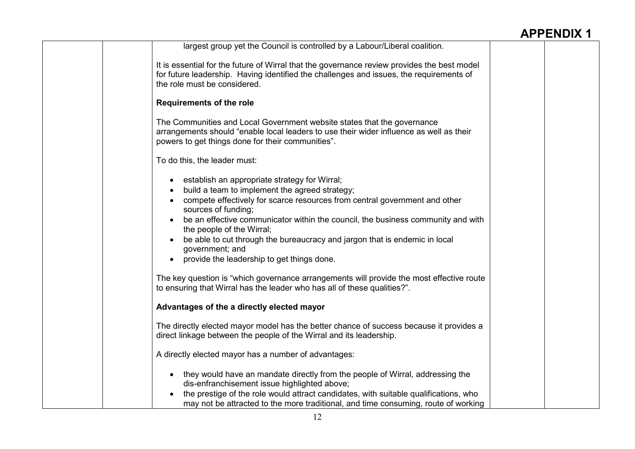| largest group yet the Council is controlled by a Labour/Liberal coalition.                                                                                                                                                                                                                                                                                                                                                                                                                                                                                                                                                                                |  |
|-----------------------------------------------------------------------------------------------------------------------------------------------------------------------------------------------------------------------------------------------------------------------------------------------------------------------------------------------------------------------------------------------------------------------------------------------------------------------------------------------------------------------------------------------------------------------------------------------------------------------------------------------------------|--|
| It is essential for the future of Wirral that the governance review provides the best model<br>for future leadership. Having identified the challenges and issues, the requirements of<br>the role must be considered.                                                                                                                                                                                                                                                                                                                                                                                                                                    |  |
| <b>Requirements of the role</b>                                                                                                                                                                                                                                                                                                                                                                                                                                                                                                                                                                                                                           |  |
| The Communities and Local Government website states that the governance<br>arrangements should "enable local leaders to use their wider influence as well as their<br>powers to get things done for their communities".                                                                                                                                                                                                                                                                                                                                                                                                                                   |  |
| To do this, the leader must:                                                                                                                                                                                                                                                                                                                                                                                                                                                                                                                                                                                                                              |  |
| establish an appropriate strategy for Wirral;<br>$\bullet$<br>build a team to implement the agreed strategy;<br>compete effectively for scarce resources from central government and other<br>sources of funding;<br>be an effective communicator within the council, the business community and with<br>the people of the Wirral;<br>be able to cut through the bureaucracy and jargon that is endemic in local<br>government; and<br>provide the leadership to get things done.<br>The key question is "which governance arrangements will provide the most effective route<br>to ensuring that Wirral has the leader who has all of these qualities?". |  |
| Advantages of the a directly elected mayor                                                                                                                                                                                                                                                                                                                                                                                                                                                                                                                                                                                                                |  |
| The directly elected mayor model has the better chance of success because it provides a<br>direct linkage between the people of the Wirral and its leadership.                                                                                                                                                                                                                                                                                                                                                                                                                                                                                            |  |
| A directly elected mayor has a number of advantages:                                                                                                                                                                                                                                                                                                                                                                                                                                                                                                                                                                                                      |  |
| • they would have an mandate directly from the people of Wirral, addressing the<br>dis-enfranchisement issue highlighted above;<br>the prestige of the role would attract candidates, with suitable qualifications, who<br>may not be attracted to the more traditional, and time consuming, route of working                                                                                                                                                                                                                                                                                                                                             |  |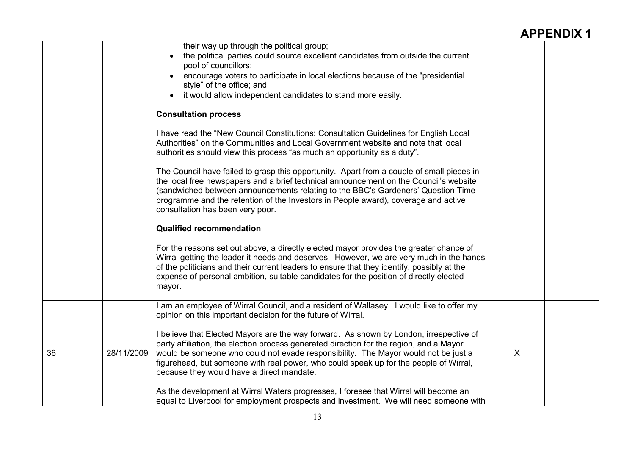|    |            | their way up through the political group;<br>the political parties could source excellent candidates from outside the current<br>pool of councillors;<br>encourage voters to participate in local elections because of the "presidential"<br>style" of the office; and<br>it would allow independent candidates to stand more easily.<br>$\bullet$                                                            |         |  |
|----|------------|---------------------------------------------------------------------------------------------------------------------------------------------------------------------------------------------------------------------------------------------------------------------------------------------------------------------------------------------------------------------------------------------------------------|---------|--|
|    |            | <b>Consultation process</b>                                                                                                                                                                                                                                                                                                                                                                                   |         |  |
|    |            | I have read the "New Council Constitutions: Consultation Guidelines for English Local<br>Authorities" on the Communities and Local Government website and note that local<br>authorities should view this process "as much an opportunity as a duty".                                                                                                                                                         |         |  |
|    |            | The Council have failed to grasp this opportunity. Apart from a couple of small pieces in<br>the local free newspapers and a brief technical announcement on the Council's website<br>(sandwiched between announcements relating to the BBC's Gardeners' Question Time<br>programme and the retention of the Investors in People award), coverage and active<br>consultation has been very poor.              |         |  |
|    |            | <b>Qualified recommendation</b>                                                                                                                                                                                                                                                                                                                                                                               |         |  |
|    |            | For the reasons set out above, a directly elected mayor provides the greater chance of<br>Wirral getting the leader it needs and deserves. However, we are very much in the hands<br>of the politicians and their current leaders to ensure that they identify, possibly at the<br>expense of personal ambition, suitable candidates for the position of directly elected<br>mayor.                           |         |  |
|    |            | am an employee of Wirral Council, and a resident of Wallasey. I would like to offer my<br>opinion on this important decision for the future of Wirral.                                                                                                                                                                                                                                                        |         |  |
| 36 | 28/11/2009 | I believe that Elected Mayors are the way forward. As shown by London, irrespective of<br>party affiliation, the election process generated direction for the region, and a Mayor<br>would be someone who could not evade responsibility. The Mayor would not be just a<br>figurehead, but someone with real power, who could speak up for the people of Wirral,<br>because they would have a direct mandate. | $\sf X$ |  |
|    |            | As the development at Wirral Waters progresses, I foresee that Wirral will become an<br>equal to Liverpool for employment prospects and investment. We will need someone with                                                                                                                                                                                                                                 |         |  |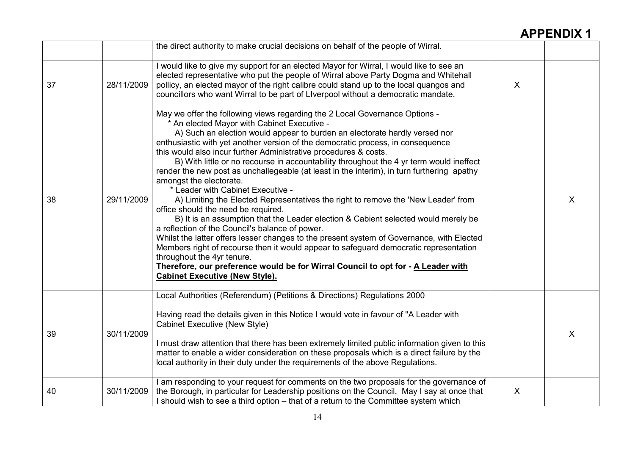|    |            | the direct authority to make crucial decisions on behalf of the people of Wirral.                                                                                                                                                                                                                                                                                                                                                                                                                                                                                                                                                                                                                                                                                                                                                                                                                                                                                                                                                                                                                                                                                                                                                              |         |         |
|----|------------|------------------------------------------------------------------------------------------------------------------------------------------------------------------------------------------------------------------------------------------------------------------------------------------------------------------------------------------------------------------------------------------------------------------------------------------------------------------------------------------------------------------------------------------------------------------------------------------------------------------------------------------------------------------------------------------------------------------------------------------------------------------------------------------------------------------------------------------------------------------------------------------------------------------------------------------------------------------------------------------------------------------------------------------------------------------------------------------------------------------------------------------------------------------------------------------------------------------------------------------------|---------|---------|
| 37 | 28/11/2009 | I would like to give my support for an elected Mayor for Wirral, I would like to see an<br>elected representative who put the people of Wirral above Party Dogma and Whitehall<br>pollicy, an elected mayor of the right calibre could stand up to the local quangos and<br>councillors who want Wirral to be part of Liverpool without a democratic mandate.                                                                                                                                                                                                                                                                                                                                                                                                                                                                                                                                                                                                                                                                                                                                                                                                                                                                                  | $\sf X$ |         |
| 38 | 29/11/2009 | May we offer the following views regarding the 2 Local Governance Options -<br>* An elected Mayor with Cabinet Executive -<br>A) Such an election would appear to burden an electorate hardly versed nor<br>enthusiastic with yet another version of the democratic process, in consequence<br>this would also incur further Administrative procedures & costs.<br>B) With little or no recourse in accountability throughout the 4 yr term would ineffect<br>render the new post as unchallegeable (at least in the interim), in turn furthering apathy<br>amongst the electorate.<br>* Leader with Cabinet Executive -<br>A) Limiting the Elected Representatives the right to remove the 'New Leader' from<br>office should the need be required.<br>B) It is an assumption that the Leader election & Cabient selected would merely be<br>a reflection of the Council's balance of power.<br>Whilst the latter offers lesser changes to the present system of Governance, with Elected<br>Members right of recourse then it would appear to safeguard democratic representation<br>throughout the 4yr tenure.<br>Therefore, our preference would be for Wirral Council to opt for - A Leader with<br><b>Cabinet Executive (New Style).</b> |         | $\sf X$ |
| 39 | 30/11/2009 | Local Authorities (Referendum) (Petitions & Directions) Regulations 2000<br>Having read the details given in this Notice I would vote in favour of "A Leader with<br><b>Cabinet Executive (New Style)</b><br>I must draw attention that there has been extremely limited public information given to this<br>matter to enable a wider consideration on these proposals which is a direct failure by the<br>local authority in their duty under the requirements of the above Regulations.                                                                                                                                                                                                                                                                                                                                                                                                                                                                                                                                                                                                                                                                                                                                                      |         | $\sf X$ |
| 40 | 30/11/2009 | I am responding to your request for comments on the two proposals for the governance of<br>the Borough, in particular for Leadership positions on the Council. May I say at once that<br>I should wish to see a third option – that of a return to the Committee system which                                                                                                                                                                                                                                                                                                                                                                                                                                                                                                                                                                                                                                                                                                                                                                                                                                                                                                                                                                  | $\sf X$ |         |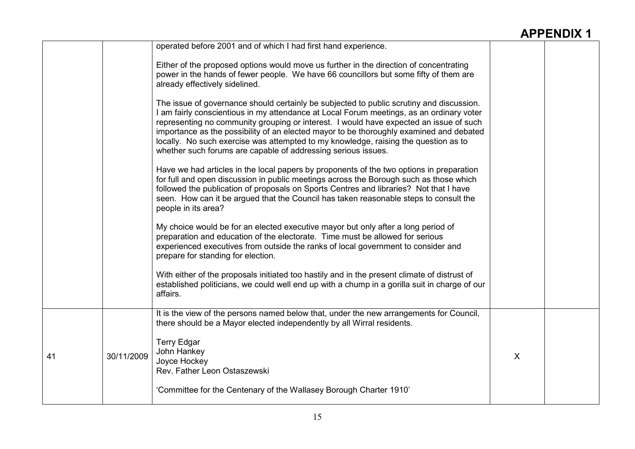|    |            | operated before 2001 and of which I had first hand experience.                                                                                                                                                                                                                                                                                                                                                                                                                                                                    |         |  |
|----|------------|-----------------------------------------------------------------------------------------------------------------------------------------------------------------------------------------------------------------------------------------------------------------------------------------------------------------------------------------------------------------------------------------------------------------------------------------------------------------------------------------------------------------------------------|---------|--|
|    |            | Either of the proposed options would move us further in the direction of concentrating<br>power in the hands of fewer people. We have 66 councillors but some fifty of them are<br>already effectively sidelined.                                                                                                                                                                                                                                                                                                                 |         |  |
|    |            | The issue of governance should certainly be subjected to public scrutiny and discussion.<br>I am fairly conscientious in my attendance at Local Forum meetings, as an ordinary voter<br>representing no community grouping or interest. I would have expected an issue of such<br>importance as the possibility of an elected mayor to be thoroughly examined and debated<br>locally. No such exercise was attempted to my knowledge, raising the question as to<br>whether such forums are capable of addressing serious issues. |         |  |
|    |            | Have we had articles in the local papers by proponents of the two options in preparation<br>for full and open discussion in public meetings across the Borough such as those which<br>followed the publication of proposals on Sports Centres and libraries? Not that I have<br>seen. How can it be argued that the Council has taken reasonable steps to consult the<br>people in its area?                                                                                                                                      |         |  |
|    |            | My choice would be for an elected executive mayor but only after a long period of<br>preparation and education of the electorate. Time must be allowed for serious<br>experienced executives from outside the ranks of local government to consider and<br>prepare for standing for election.                                                                                                                                                                                                                                     |         |  |
|    |            | With either of the proposals initiated too hastily and in the present climate of distrust of<br>established politicians, we could well end up with a chump in a gorilla suit in charge of our<br>affairs.                                                                                                                                                                                                                                                                                                                         |         |  |
|    |            | It is the view of the persons named below that, under the new arrangements for Council,<br>there should be a Mayor elected independently by all Wirral residents.                                                                                                                                                                                                                                                                                                                                                                 |         |  |
| 41 | 30/11/2009 | <b>Terry Edgar</b><br>John Hankey<br>Joyce Hockey<br>Rev. Father Leon Ostaszewski                                                                                                                                                                                                                                                                                                                                                                                                                                                 | $\sf X$ |  |
|    |            | 'Committee for the Centenary of the Wallasey Borough Charter 1910'                                                                                                                                                                                                                                                                                                                                                                                                                                                                |         |  |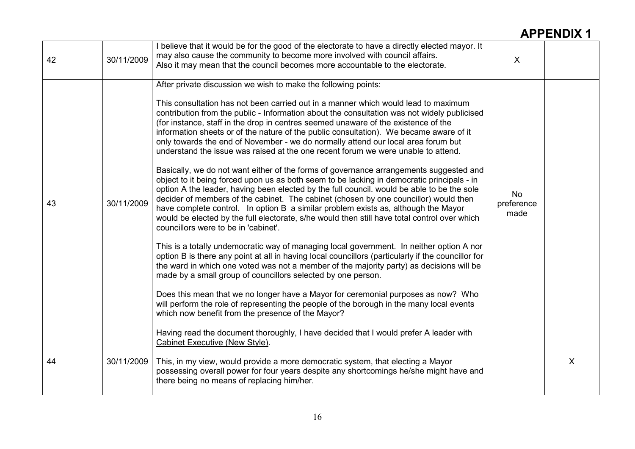|    | 30/11/2009 | I believe that it would be for the good of the electorate to have a directly elected mayor. It                                                                                                                                                                                                                                                                                                                                                                                                                                                                                                                                                                                                                                                                                                                                                                                                                                                                                                                                                                                                                                                                                                                                                      |                                 |         |
|----|------------|-----------------------------------------------------------------------------------------------------------------------------------------------------------------------------------------------------------------------------------------------------------------------------------------------------------------------------------------------------------------------------------------------------------------------------------------------------------------------------------------------------------------------------------------------------------------------------------------------------------------------------------------------------------------------------------------------------------------------------------------------------------------------------------------------------------------------------------------------------------------------------------------------------------------------------------------------------------------------------------------------------------------------------------------------------------------------------------------------------------------------------------------------------------------------------------------------------------------------------------------------------|---------------------------------|---------|
| 42 |            | may also cause the community to become more involved with council affairs.                                                                                                                                                                                                                                                                                                                                                                                                                                                                                                                                                                                                                                                                                                                                                                                                                                                                                                                                                                                                                                                                                                                                                                          |                                 |         |
|    |            | Also it may mean that the council becomes more accountable to the electorate.                                                                                                                                                                                                                                                                                                                                                                                                                                                                                                                                                                                                                                                                                                                                                                                                                                                                                                                                                                                                                                                                                                                                                                       |                                 |         |
|    |            | After private discussion we wish to make the following points:                                                                                                                                                                                                                                                                                                                                                                                                                                                                                                                                                                                                                                                                                                                                                                                                                                                                                                                                                                                                                                                                                                                                                                                      |                                 |         |
| 43 | 30/11/2009 | This consultation has not been carried out in a manner which would lead to maximum<br>contribution from the public - Information about the consultation was not widely publicised<br>(for instance, staff in the drop in centres seemed unaware of the existence of the<br>information sheets or of the nature of the public consultation). We became aware of it<br>only towards the end of November - we do normally attend our local area forum but<br>understand the issue was raised at the one recent forum we were unable to attend.<br>Basically, we do not want either of the forms of governance arrangements suggested and<br>object to it being forced upon us as both seem to be lacking in democratic principals - in<br>option A the leader, having been elected by the full council. would be able to be the sole<br>decider of members of the cabinet. The cabinet (chosen by one councillor) would then<br>have complete control. In option B a similar problem exists as, although the Mayor<br>would be elected by the full electorate, s/he would then still have total control over which<br>councillors were to be in 'cabinet'.<br>This is a totally undemocratic way of managing local government. In neither option A nor | <b>No</b><br>preference<br>made |         |
|    |            | option B is there any point at all in having local councillors (particularly if the councillor for<br>the ward in which one voted was not a member of the majority party) as decisions will be<br>made by a small group of councillors selected by one person.<br>Does this mean that we no longer have a Mayor for ceremonial purposes as now? Who<br>will perform the role of representing the people of the borough in the many local events<br>which now benefit from the presence of the Mayor?                                                                                                                                                                                                                                                                                                                                                                                                                                                                                                                                                                                                                                                                                                                                                |                                 |         |
| 44 | 30/11/2009 | Having read the document thoroughly, I have decided that I would prefer A leader with<br>Cabinet Executive (New Style).                                                                                                                                                                                                                                                                                                                                                                                                                                                                                                                                                                                                                                                                                                                                                                                                                                                                                                                                                                                                                                                                                                                             |                                 |         |
|    |            | This, in my view, would provide a more democratic system, that electing a Mayor<br>possessing overall power for four years despite any shortcomings he/she might have and<br>there being no means of replacing him/her.                                                                                                                                                                                                                                                                                                                                                                                                                                                                                                                                                                                                                                                                                                                                                                                                                                                                                                                                                                                                                             |                                 | $\sf X$ |